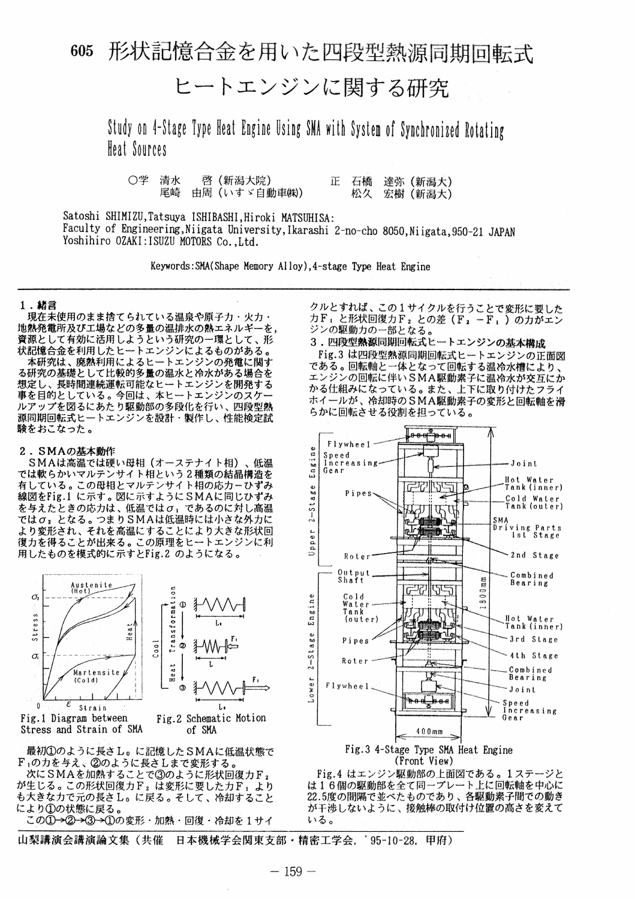## 形状記憶合金を用いた四段型熱源同期回転式 605

ヒートエンジンに関する研究

Study on 4-Stage Type Heat Engine Using SMA with System of Synchronized Rotating Heat Sources

○学 清水 啓(新潟大院) ΙE. 石橋 達弥 (新潟大) 尾崎 由周 (いすゞ自動車(株)) 松久 宏樹 (新潟大)

Satoshi SHIMIZU, Tatsuya ISHIBASHI, Hiroki MATSUHISA: Faculty of Engineering, Niigata University, Ikarashi 2-no-cho 8050, Niigata, 950-21 JAPAN Yoshihiro OZAKI: ISUZU MOTORS Co., Ltd.

Keywords: SMA(Shape Memory Alloy), 4-stage Type Heat Engine

#### 1.緒言

現在未使用のまま捨てられている温泉や原子力・火力・ 地熱発電所及び工場などの多量の温排水の熱エネルギーを、 資源として有効に活用しようという研究の一環として、形 状記憶合金を利用したヒートエンジンによるものがある。

本研究は、廃熱利用によるヒートエンジンの発電に関す る研究の基礎として比較的多量の温水と冷水がある場合を 想定し、長時間連続運転可能なヒートエンジンを開発する 。<br>事を目的としている。今回は、本ヒートエンジンのスケー ルアップを図るにあたり駆動部の多段化を行い、四段型熱 源同期回転式ヒートエンジンを設計・製作し、性能検定試 験をおこなった。

### 2. SMAの基本動作

SMAは高温では硬い母相(オーステナイト相)、低温 では軟らかいマルテンサイト相という2種類の結晶構造を 有している。この母相とマルテンサイト相の応力ーひずみ 線図をFig.1 に示す。図に示すようにSMAに同じひずみ を与えたときの応力は、低温ではσ」であるのに対し高温 ではoxとなる。つまりSMAは低温時には小さな外力に より変形され、それを高温にすることにより大きな形状回 復力を得ることが出来る。この原理をヒートエンジンに利 用したものを模式的に示すとFig.2 のようになる。



Fig.1 Diagram between Stress and Strain of SMA Fig.2 Schematic Motion of SMA

最初1のように長さし。に記憶したSMAに低温状態で F1の力を与え、②のように長さしまで変形する。<br>次にSMAを加熱することで③のように形状回復力F2

が生じる。この形状回復力F2は変形に要した力F1より も大きな力で元の長さし。に戻る。そして、冷却すること により1の状態に戻る。

この①→②→③→①の変形・加熱・回復・冷却を1サイ

山梨講演会講演論文集(共催 日本機械学会関東支部・精密工学会, '95-10-28, 甲府)

クルとすれば、この1サイクルを行うことで変形に要した 力F」と形状回復力F2との差(F2-F1)の力がエン ジンの駆動力の一部となる。

3. 四段型熱源同期回転式ヒートエンジンの基本構成 Fig.3 は四段型熱源同期回転式ヒートエンジンの正面図 である。回転軸と一体となって回転する温冷水槽により、 エンジンの回転に伴いSMA駆動素子に温冷水が交互にか かる仕組みになっている。また、上下に取り付けたフライ ホイールが、冷却時のSMA駆動素子の変形と回転軸を滑 らかに回転させる役割を担っている。





Fig.4 はエンジン駆動部の上面図である。1ステージと は16個の駆動部を全て同一プレート上に回転軸を中心に<br>22.5度の間隔で並べたものであり、各駆動素子間での動き が干渉しないように、接触棒の取付け位置の高さを変えて いる。